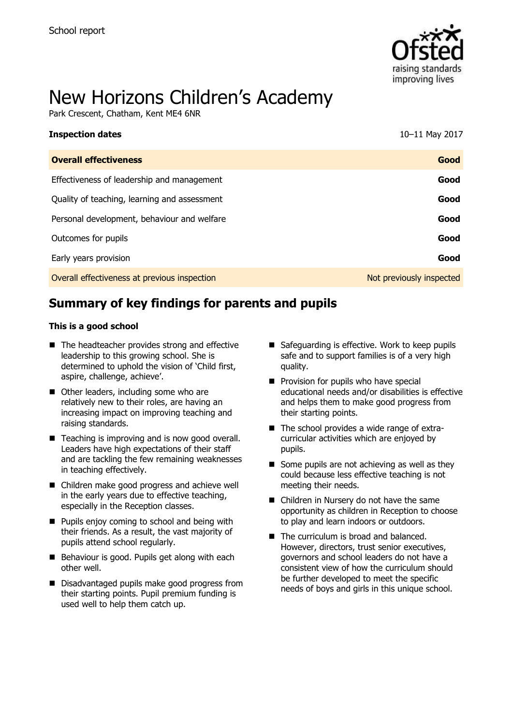

# New Horizons Children's Academy

Park Crescent, Chatham, Kent ME4 6NR

| <b>Inspection dates</b>                      | 10-11 May 2017           |
|----------------------------------------------|--------------------------|
| <b>Overall effectiveness</b>                 | Good                     |
| Effectiveness of leadership and management   | Good                     |
| Quality of teaching, learning and assessment | Good                     |
| Personal development, behaviour and welfare  | Good                     |
| Outcomes for pupils                          | Good                     |
| Early years provision                        | Good                     |
| Overall effectiveness at previous inspection | Not previously inspected |
|                                              |                          |

# **Summary of key findings for parents and pupils**

#### **This is a good school**

- The headteacher provides strong and effective leadership to this growing school. She is determined to uphold the vision of 'Child first, aspire, challenge, achieve'.
- Other leaders, including some who are relatively new to their roles, are having an increasing impact on improving teaching and raising standards.
- Teaching is improving and is now good overall. Leaders have high expectations of their staff and are tackling the few remaining weaknesses in teaching effectively.
- Children make good progress and achieve well in the early years due to effective teaching, especially in the Reception classes.
- **Pupils enjoy coming to school and being with** their friends. As a result, the vast majority of pupils attend school regularly.
- Behaviour is good. Pupils get along with each other well.
- Disadvantaged pupils make good progress from their starting points. Pupil premium funding is used well to help them catch up.
- Safeguarding is effective. Work to keep pupils safe and to support families is of a very high quality.
- $\blacksquare$  Provision for pupils who have special educational needs and/or disabilities is effective and helps them to make good progress from their starting points.
- The school provides a wide range of extracurricular activities which are enjoyed by pupils.
- $\blacksquare$  Some pupils are not achieving as well as they could because less effective teaching is not meeting their needs.
- Children in Nursery do not have the same opportunity as children in Reception to choose to play and learn indoors or outdoors.
- The curriculum is broad and balanced. However, directors, trust senior executives, governors and school leaders do not have a consistent view of how the curriculum should be further developed to meet the specific needs of boys and girls in this unique school.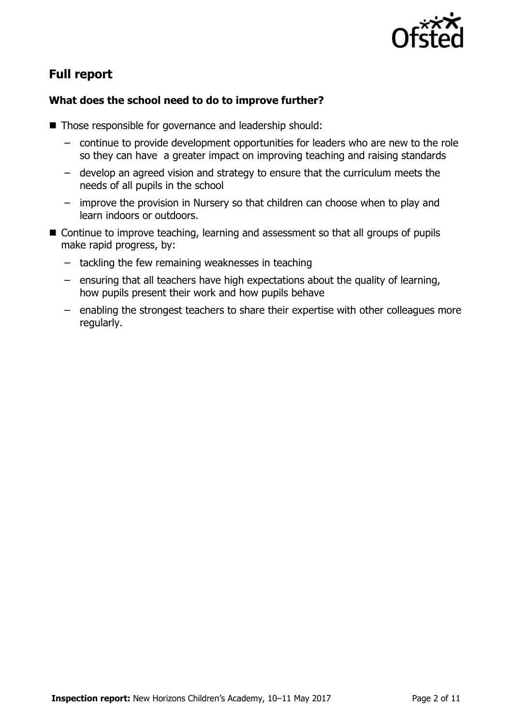

# **Full report**

### **What does the school need to do to improve further?**

- Those responsible for governance and leadership should:
	- continue to provide development opportunities for leaders who are new to the role so they can have a greater impact on improving teaching and raising standards
	- develop an agreed vision and strategy to ensure that the curriculum meets the needs of all pupils in the school
	- improve the provision in Nursery so that children can choose when to play and learn indoors or outdoors.
- Continue to improve teaching, learning and assessment so that all groups of pupils make rapid progress, by:
	- tackling the few remaining weaknesses in teaching
	- ensuring that all teachers have high expectations about the quality of learning, how pupils present their work and how pupils behave
	- enabling the strongest teachers to share their expertise with other colleagues more regularly.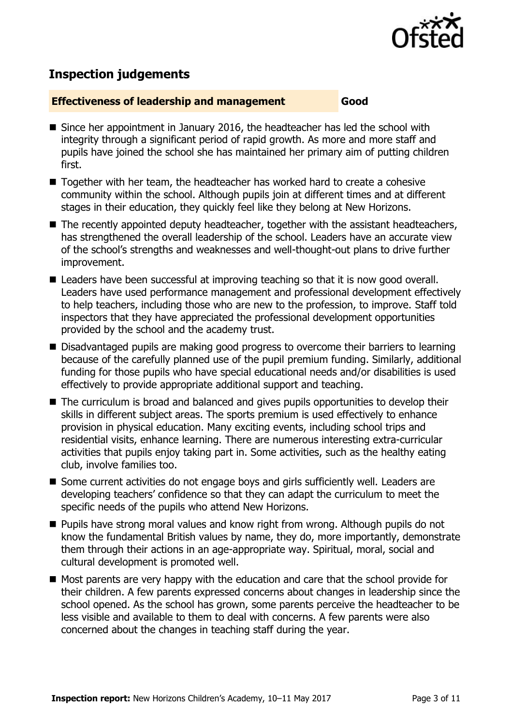

# **Inspection judgements**

#### **Effectiveness of leadership and management Good**

- Since her appointment in January 2016, the headteacher has led the school with integrity through a significant period of rapid growth. As more and more staff and pupils have joined the school she has maintained her primary aim of putting children first.
- Together with her team, the headteacher has worked hard to create a cohesive community within the school. Although pupils join at different times and at different stages in their education, they quickly feel like they belong at New Horizons.
- The recently appointed deputy headteacher, together with the assistant headteachers, has strengthened the overall leadership of the school. Leaders have an accurate view of the school's strengths and weaknesses and well-thought-out plans to drive further improvement.
- Leaders have been successful at improving teaching so that it is now good overall. Leaders have used performance management and professional development effectively to help teachers, including those who are new to the profession, to improve. Staff told inspectors that they have appreciated the professional development opportunities provided by the school and the academy trust.
- Disadvantaged pupils are making good progress to overcome their barriers to learning because of the carefully planned use of the pupil premium funding. Similarly, additional funding for those pupils who have special educational needs and/or disabilities is used effectively to provide appropriate additional support and teaching.
- The curriculum is broad and balanced and gives pupils opportunities to develop their skills in different subject areas. The sports premium is used effectively to enhance provision in physical education. Many exciting events, including school trips and residential visits, enhance learning. There are numerous interesting extra-curricular activities that pupils enjoy taking part in. Some activities, such as the healthy eating club, involve families too.
- Some current activities do not engage boys and girls sufficiently well. Leaders are developing teachers' confidence so that they can adapt the curriculum to meet the specific needs of the pupils who attend New Horizons.
- Pupils have strong moral values and know right from wrong. Although pupils do not know the fundamental British values by name, they do, more importantly, demonstrate them through their actions in an age-appropriate way. Spiritual, moral, social and cultural development is promoted well.
- Most parents are very happy with the education and care that the school provide for their children. A few parents expressed concerns about changes in leadership since the school opened. As the school has grown, some parents perceive the headteacher to be less visible and available to them to deal with concerns. A few parents were also concerned about the changes in teaching staff during the year.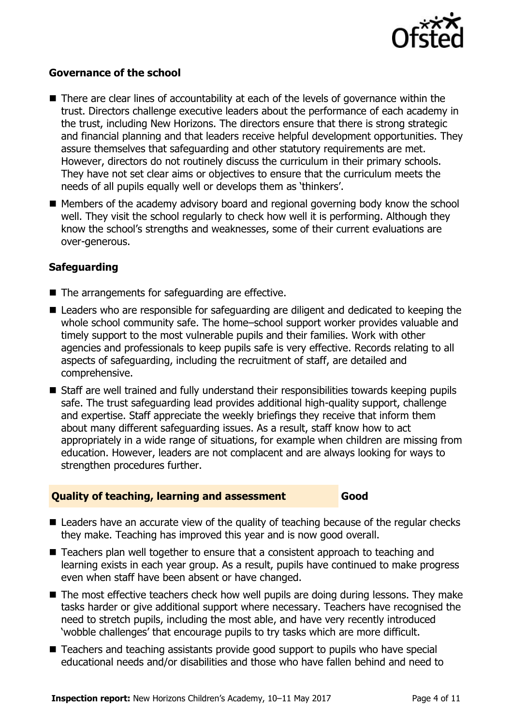

#### **Governance of the school**

- There are clear lines of accountability at each of the levels of governance within the trust. Directors challenge executive leaders about the performance of each academy in the trust, including New Horizons. The directors ensure that there is strong strategic and financial planning and that leaders receive helpful development opportunities. They assure themselves that safeguarding and other statutory requirements are met. However, directors do not routinely discuss the curriculum in their primary schools. They have not set clear aims or objectives to ensure that the curriculum meets the needs of all pupils equally well or develops them as 'thinkers'.
- Members of the academy advisory board and regional governing body know the school well. They visit the school regularly to check how well it is performing. Although they know the school's strengths and weaknesses, some of their current evaluations are over-generous.

#### **Safeguarding**

- The arrangements for safeguarding are effective.
- Leaders who are responsible for safeguarding are diligent and dedicated to keeping the whole school community safe. The home–school support worker provides valuable and timely support to the most vulnerable pupils and their families. Work with other agencies and professionals to keep pupils safe is very effective. Records relating to all aspects of safeguarding, including the recruitment of staff, are detailed and comprehensive.
- Staff are well trained and fully understand their responsibilities towards keeping pupils safe. The trust safeguarding lead provides additional high-quality support, challenge and expertise. Staff appreciate the weekly briefings they receive that inform them about many different safeguarding issues. As a result, staff know how to act appropriately in a wide range of situations, for example when children are missing from education. However, leaders are not complacent and are always looking for ways to strengthen procedures further.

#### **Quality of teaching, learning and assessment Good**

- Leaders have an accurate view of the quality of teaching because of the regular checks they make. Teaching has improved this year and is now good overall.
- Teachers plan well together to ensure that a consistent approach to teaching and learning exists in each year group. As a result, pupils have continued to make progress even when staff have been absent or have changed.
- The most effective teachers check how well pupils are doing during lessons. They make tasks harder or give additional support where necessary. Teachers have recognised the need to stretch pupils, including the most able, and have very recently introduced 'wobble challenges' that encourage pupils to try tasks which are more difficult.
- Teachers and teaching assistants provide good support to pupils who have special educational needs and/or disabilities and those who have fallen behind and need to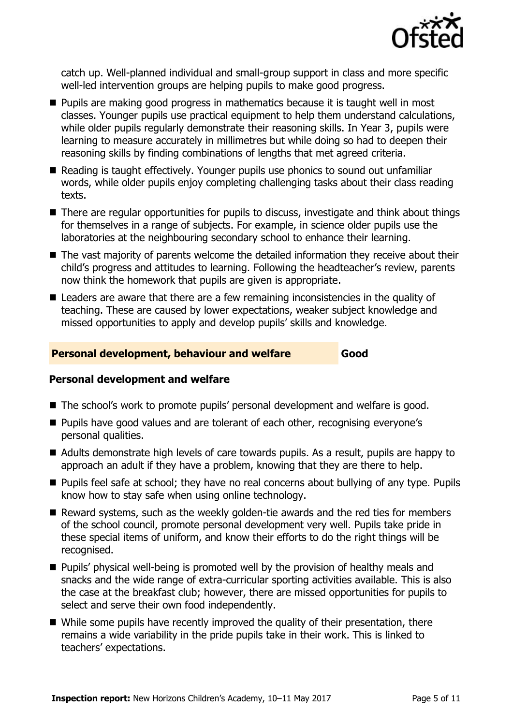

catch up. Well-planned individual and small-group support in class and more specific well-led intervention groups are helping pupils to make good progress.

- **Pupils are making good progress in mathematics because it is taught well in most** classes. Younger pupils use practical equipment to help them understand calculations, while older pupils regularly demonstrate their reasoning skills. In Year 3, pupils were learning to measure accurately in millimetres but while doing so had to deepen their reasoning skills by finding combinations of lengths that met agreed criteria.
- Reading is taught effectively. Younger pupils use phonics to sound out unfamiliar words, while older pupils enjoy completing challenging tasks about their class reading texts.
- There are regular opportunities for pupils to discuss, investigate and think about things for themselves in a range of subjects. For example, in science older pupils use the laboratories at the neighbouring secondary school to enhance their learning.
- The vast majority of parents welcome the detailed information they receive about their child's progress and attitudes to learning. Following the headteacher's review, parents now think the homework that pupils are given is appropriate.
- Leaders are aware that there are a few remaining inconsistencies in the quality of teaching. These are caused by lower expectations, weaker subject knowledge and missed opportunities to apply and develop pupils' skills and knowledge.

#### **Personal development, behaviour and welfare Good**

#### **Personal development and welfare**

- The school's work to promote pupils' personal development and welfare is good.
- **Pupils have good values and are tolerant of each other, recognising everyone's** personal qualities.
- Adults demonstrate high levels of care towards pupils. As a result, pupils are happy to approach an adult if they have a problem, knowing that they are there to help.
- **Pupils feel safe at school; they have no real concerns about bullying of any type. Pupils** know how to stay safe when using online technology.
- Reward systems, such as the weekly golden-tie awards and the red ties for members of the school council, promote personal development very well. Pupils take pride in these special items of uniform, and know their efforts to do the right things will be recognised.
- **Pupils'** physical well-being is promoted well by the provision of healthy meals and snacks and the wide range of extra-curricular sporting activities available. This is also the case at the breakfast club; however, there are missed opportunities for pupils to select and serve their own food independently.
- While some pupils have recently improved the quality of their presentation, there remains a wide variability in the pride pupils take in their work. This is linked to teachers' expectations.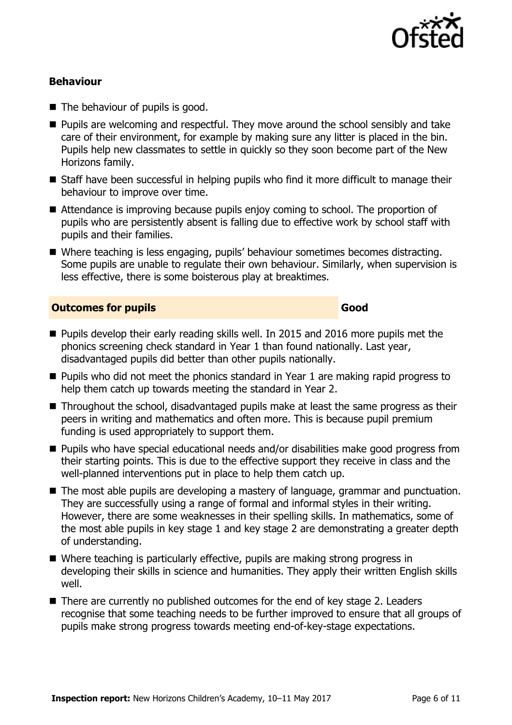

### **Behaviour**

- The behaviour of pupils is good.
- **Pupils are welcoming and respectful. They move around the school sensibly and take** care of their environment, for example by making sure any litter is placed in the bin. Pupils help new classmates to settle in quickly so they soon become part of the New Horizons family.
- Staff have been successful in helping pupils who find it more difficult to manage their behaviour to improve over time.
- Attendance is improving because pupils enjoy coming to school. The proportion of pupils who are persistently absent is falling due to effective work by school staff with pupils and their families.
- Where teaching is less engaging, pupils' behaviour sometimes becomes distracting. Some pupils are unable to regulate their own behaviour. Similarly, when supervision is less effective, there is some boisterous play at breaktimes.

#### **Outcomes for pupils Good Good**

- **Pupils develop their early reading skills well. In 2015 and 2016 more pupils met the** phonics screening check standard in Year 1 than found nationally. Last year, disadvantaged pupils did better than other pupils nationally.
- $\blacksquare$  Pupils who did not meet the phonics standard in Year 1 are making rapid progress to help them catch up towards meeting the standard in Year 2.
- Throughout the school, disadvantaged pupils make at least the same progress as their peers in writing and mathematics and often more. This is because pupil premium funding is used appropriately to support them.
- Pupils who have special educational needs and/or disabilities make good progress from their starting points. This is due to the effective support they receive in class and the well-planned interventions put in place to help them catch up.
- The most able pupils are developing a mastery of language, grammar and punctuation. They are successfully using a range of formal and informal styles in their writing. However, there are some weaknesses in their spelling skills. In mathematics, some of the most able pupils in key stage 1 and key stage 2 are demonstrating a greater depth of understanding.
- Where teaching is particularly effective, pupils are making strong progress in developing their skills in science and humanities. They apply their written English skills well.
- There are currently no published outcomes for the end of key stage 2. Leaders recognise that some teaching needs to be further improved to ensure that all groups of pupils make strong progress towards meeting end-of-key-stage expectations.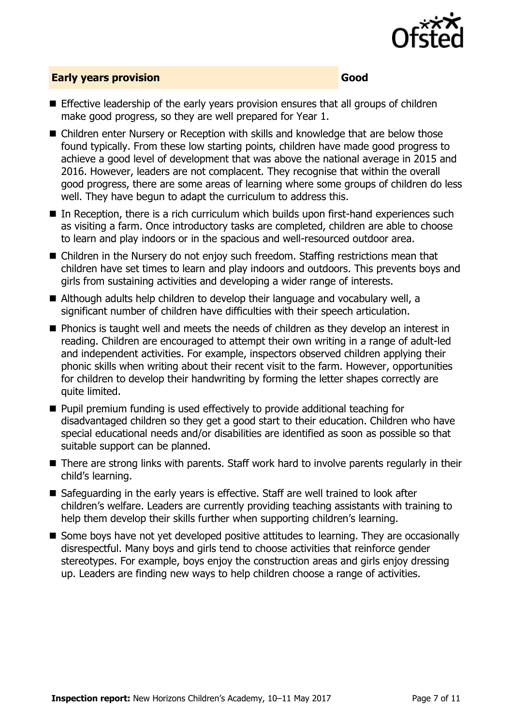

### **Early years provision Good**

- **E** Effective leadership of the early years provision ensures that all groups of children make good progress, so they are well prepared for Year 1.
- Children enter Nursery or Reception with skills and knowledge that are below those found typically. From these low starting points, children have made good progress to achieve a good level of development that was above the national average in 2015 and 2016. However, leaders are not complacent. They recognise that within the overall good progress, there are some areas of learning where some groups of children do less well. They have begun to adapt the curriculum to address this.
- In Reception, there is a rich curriculum which builds upon first-hand experiences such as visiting a farm. Once introductory tasks are completed, children are able to choose to learn and play indoors or in the spacious and well-resourced outdoor area.
- Children in the Nursery do not enjoy such freedom. Staffing restrictions mean that children have set times to learn and play indoors and outdoors. This prevents boys and girls from sustaining activities and developing a wider range of interests.
- Although adults help children to develop their language and vocabulary well, a significant number of children have difficulties with their speech articulation.
- **Phonics is taught well and meets the needs of children as they develop an interest in** reading. Children are encouraged to attempt their own writing in a range of adult-led and independent activities. For example, inspectors observed children applying their phonic skills when writing about their recent visit to the farm. However, opportunities for children to develop their handwriting by forming the letter shapes correctly are quite limited.
- **Pupil premium funding is used effectively to provide additional teaching for** disadvantaged children so they get a good start to their education. Children who have special educational needs and/or disabilities are identified as soon as possible so that suitable support can be planned.
- There are strong links with parents. Staff work hard to involve parents regularly in their child's learning.
- Safeguarding in the early years is effective. Staff are well trained to look after children's welfare. Leaders are currently providing teaching assistants with training to help them develop their skills further when supporting children's learning.
- Some boys have not yet developed positive attitudes to learning. They are occasionally disrespectful. Many boys and girls tend to choose activities that reinforce gender stereotypes. For example, boys enjoy the construction areas and girls enjoy dressing up. Leaders are finding new ways to help children choose a range of activities.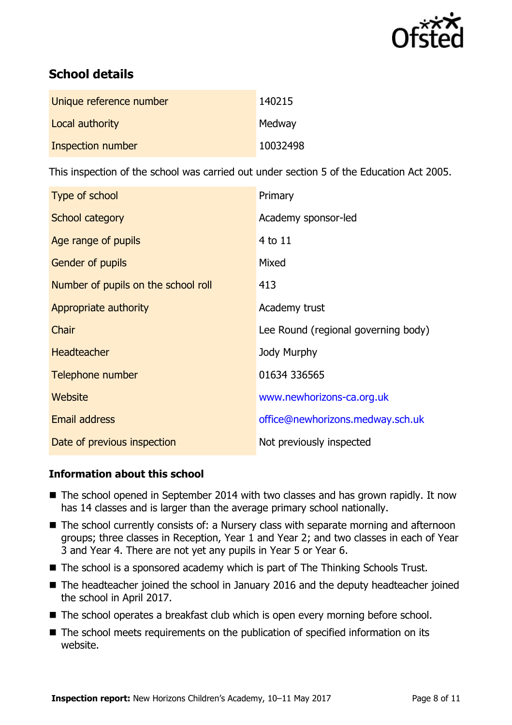

# **School details**

| Unique reference number | 140215   |
|-------------------------|----------|
| Local authority         | Medway   |
| Inspection number       | 10032498 |

This inspection of the school was carried out under section 5 of the Education Act 2005.

| Type of school                      | Primary                             |
|-------------------------------------|-------------------------------------|
| School category                     | Academy sponsor-led                 |
| Age range of pupils                 | 4 to 11                             |
| Gender of pupils                    | Mixed                               |
| Number of pupils on the school roll | 413                                 |
| Appropriate authority               | Academy trust                       |
| Chair                               | Lee Round (regional governing body) |
| <b>Headteacher</b>                  | Jody Murphy                         |
| Telephone number                    | 01634 336565                        |
| <b>Website</b>                      | www.newhorizons-ca.org.uk           |
| <b>Email address</b>                | office@newhorizons.medway.sch.uk    |
| Date of previous inspection         | Not previously inspected            |

### **Information about this school**

- The school opened in September 2014 with two classes and has grown rapidly. It now has 14 classes and is larger than the average primary school nationally.
- The school currently consists of: a Nursery class with separate morning and afternoon groups; three classes in Reception, Year 1 and Year 2; and two classes in each of Year 3 and Year 4. There are not yet any pupils in Year 5 or Year 6.
- The school is a sponsored academy which is part of The Thinking Schools Trust.
- The headteacher joined the school in January 2016 and the deputy headteacher joined the school in April 2017.
- The school operates a breakfast club which is open every morning before school.
- The school meets requirements on the publication of specified information on its website.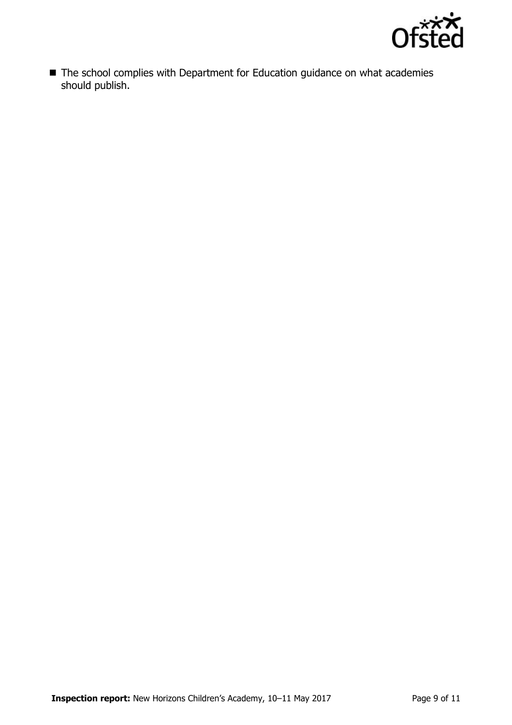

■ The school complies with Department for Education guidance on what academies should publish.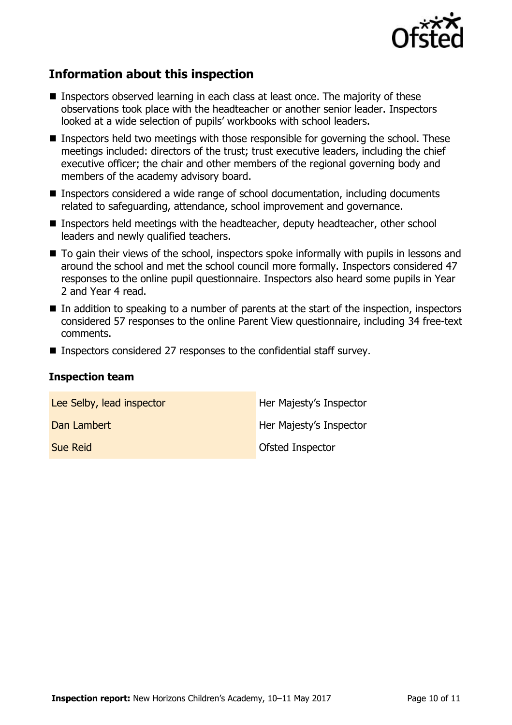

## **Information about this inspection**

- Inspectors observed learning in each class at least once. The majority of these observations took place with the headteacher or another senior leader. Inspectors looked at a wide selection of pupils' workbooks with school leaders.
- Inspectors held two meetings with those responsible for governing the school. These meetings included: directors of the trust; trust executive leaders, including the chief executive officer; the chair and other members of the regional governing body and members of the academy advisory board.
- Inspectors considered a wide range of school documentation, including documents related to safeguarding, attendance, school improvement and governance.
- Inspectors held meetings with the headteacher, deputy headteacher, other school leaders and newly qualified teachers.
- To gain their views of the school, inspectors spoke informally with pupils in lessons and around the school and met the school council more formally. Inspectors considered 47 responses to the online pupil questionnaire. Inspectors also heard some pupils in Year 2 and Year 4 read.
- $\blacksquare$  In addition to speaking to a number of parents at the start of the inspection, inspectors considered 57 responses to the online Parent View questionnaire, including 34 free-text comments.
- Inspectors considered 27 responses to the confidential staff survey.

#### **Inspection team**

| Lee Selby, lead inspector | Her Majesty's Inspector |
|---------------------------|-------------------------|
| Dan Lambert               | Her Majesty's Inspector |
| <b>Sue Reid</b>           | Ofsted Inspector        |